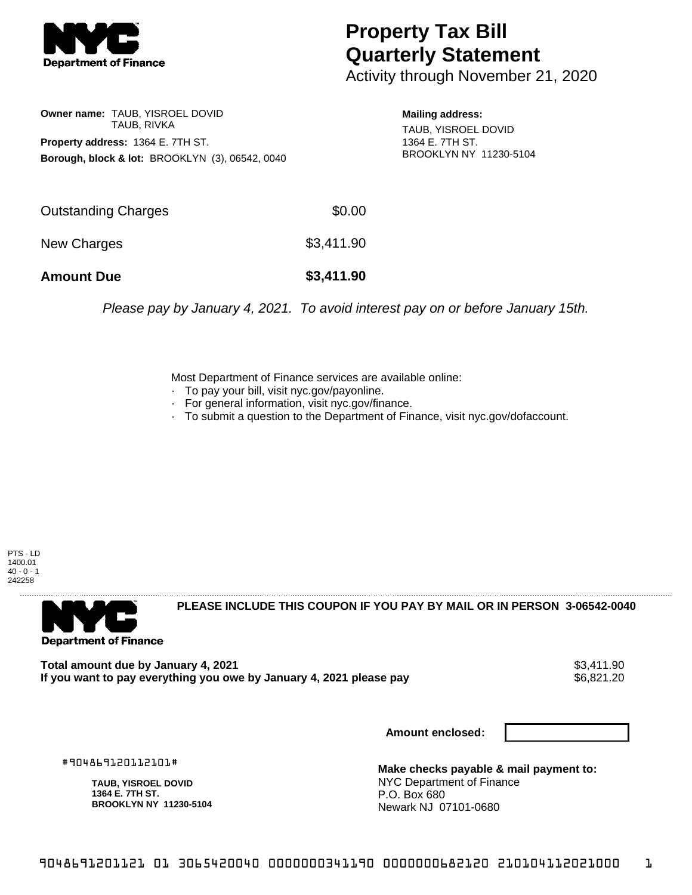

## **Property Tax Bill Quarterly Statement**

Activity through November 21, 2020

**Owner name:** TAUB, YISROEL DOVID TAUB, RIVKA **Property address:** 1364 E. 7TH ST. **Borough, block & lot:** BROOKLYN (3), 06542, 0040

**Mailing address:** TAUB, YISROEL DOVID 1364 E. 7TH ST. BROOKLYN NY 11230-5104

| <b>Amount Due</b>   | \$3,411.90 |
|---------------------|------------|
| New Charges         | \$3,411.90 |
| Outstanding Charges | \$0.00     |

Please pay by January 4, 2021. To avoid interest pay on or before January 15th.

Most Department of Finance services are available online:

- · To pay your bill, visit nyc.gov/payonline.
- For general information, visit nyc.gov/finance.
- · To submit a question to the Department of Finance, visit nyc.gov/dofaccount.

PTS - LD 1400.01  $40 - 0 - 1$ 242258



**PLEASE INCLUDE THIS COUPON IF YOU PAY BY MAIL OR IN PERSON 3-06542-0040** 

Total amount due by January 4, 2021<br>If you want to pay everything you owe by January 4, 2021 please pay **show that the summan way of the set of** 6,821.20 If you want to pay everything you owe by January 4, 2021 please pay

**Amount enclosed:**

#904869120112101#

**TAUB, YISROEL DOVID 1364 E. 7TH ST. BROOKLYN NY 11230-5104**

**Make checks payable & mail payment to:** NYC Department of Finance P.O. Box 680 Newark NJ 07101-0680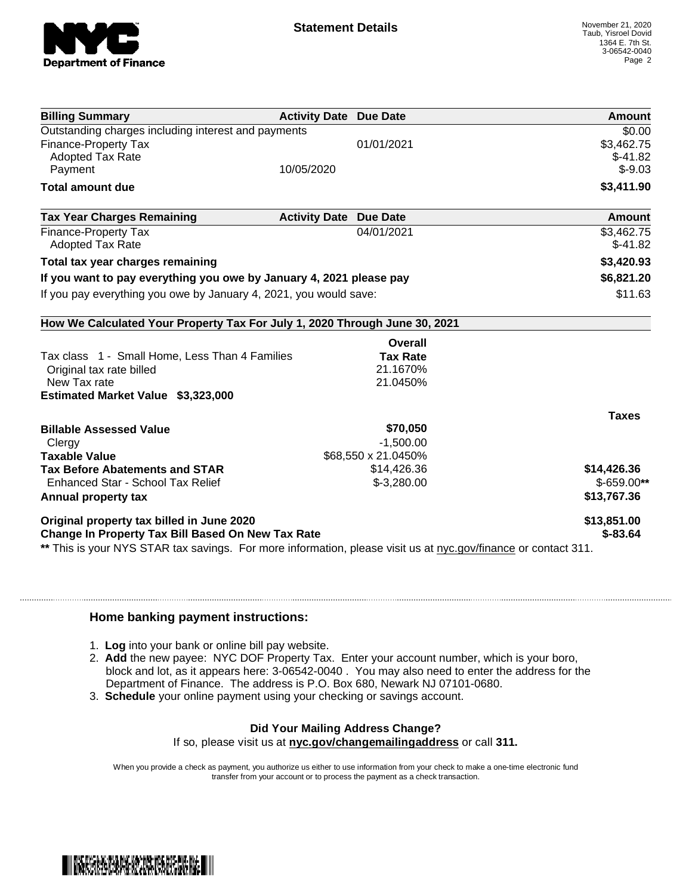

| <b>Billing Summary</b>                                                                                         | <b>Activity Date Due Date</b> |                     | Amount       |
|----------------------------------------------------------------------------------------------------------------|-------------------------------|---------------------|--------------|
| Outstanding charges including interest and payments                                                            |                               |                     | \$0.00       |
| <b>Finance-Property Tax</b>                                                                                    |                               | 01/01/2021          | \$3,462.75   |
| <b>Adopted Tax Rate</b>                                                                                        |                               |                     | $$-41.82$    |
| Payment                                                                                                        | 10/05/2020                    |                     | $$-9.03$     |
| <b>Total amount due</b>                                                                                        |                               |                     | \$3,411.90   |
| <b>Tax Year Charges Remaining</b>                                                                              | <b>Activity Date</b>          | <b>Due Date</b>     | Amount       |
| <b>Finance-Property Tax</b>                                                                                    |                               | 04/01/2021          | \$3,462.75   |
| <b>Adopted Tax Rate</b>                                                                                        |                               |                     | $$-41.82$    |
| Total tax year charges remaining                                                                               |                               |                     | \$3,420.93   |
| If you want to pay everything you owe by January 4, 2021 please pay                                            |                               |                     | \$6,821.20   |
| If you pay everything you owe by January 4, 2021, you would save:                                              |                               |                     | \$11.63      |
| How We Calculated Your Property Tax For July 1, 2020 Through June 30, 2021                                     |                               |                     |              |
|                                                                                                                |                               | Overall             |              |
| Tax class 1 - Small Home, Less Than 4 Families                                                                 |                               | <b>Tax Rate</b>     |              |
| Original tax rate billed                                                                                       |                               | 21.1670%            |              |
| New Tax rate                                                                                                   |                               | 21.0450%            |              |
| Estimated Market Value \$3,323,000                                                                             |                               |                     |              |
|                                                                                                                |                               |                     | <b>Taxes</b> |
| <b>Billable Assessed Value</b>                                                                                 |                               | \$70,050            |              |
| Clergy                                                                                                         |                               | $-1,500.00$         |              |
| <b>Taxable Value</b>                                                                                           |                               | \$68,550 x 21.0450% |              |
| <b>Tax Before Abatements and STAR</b>                                                                          |                               | \$14,426.36         | \$14,426.36  |
| Enhanced Star - School Tax Relief                                                                              |                               | $$-3,280.00$        | $$-659.00**$ |
| Annual property tax                                                                                            |                               |                     | \$13,767.36  |
| Original property tax billed in June 2020                                                                      |                               |                     | \$13,851.00  |
| <b>Change In Property Tax Bill Based On New Tax Rate</b>                                                       |                               |                     | $$-83.64$    |
| ** This is your NYS STAR tax savings. For more information, please visit us at nyc.gov/finance or contact 311. |                               |                     |              |

## **Home banking payment instructions:**

- 1. **Log** into your bank or online bill pay website.
- 2. **Add** the new payee: NYC DOF Property Tax. Enter your account number, which is your boro, block and lot, as it appears here: 3-06542-0040 . You may also need to enter the address for the Department of Finance. The address is P.O. Box 680, Newark NJ 07101-0680.
- 3. **Schedule** your online payment using your checking or savings account.

## **Did Your Mailing Address Change?**

If so, please visit us at **nyc.gov/changemailingaddress** or call **311.**

When you provide a check as payment, you authorize us either to use information from your check to make a one-time electronic fund transfer from your account or to process the payment as a check transaction.